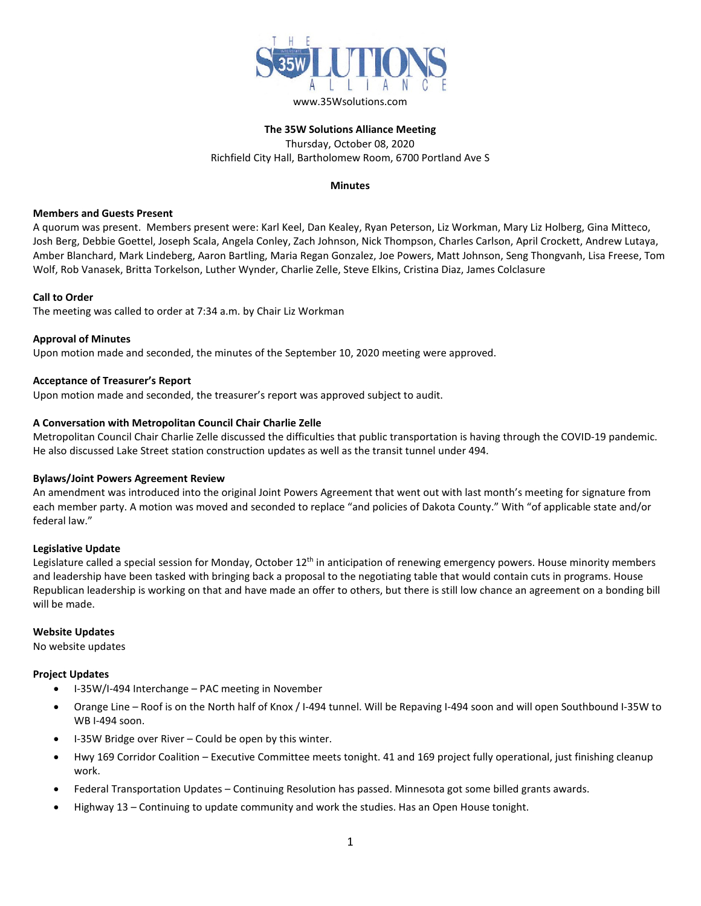

## **The 35W Solutions Alliance Meeting** Thursday, October 08, 2020 Richfield City Hall, Bartholomew Room, 6700 Portland Ave S

## **Minutes**

## **Members and Guests Present**

A quorum was present. Members present were: Karl Keel, Dan Kealey, Ryan Peterson, Liz Workman, Mary Liz Holberg, Gina Mitteco, Josh Berg, Debbie Goettel, Joseph Scala, Angela Conley, Zach Johnson, Nick Thompson, Charles Carlson, April Crockett, Andrew Lutaya, Amber Blanchard, Mark Lindeberg, Aaron Bartling, Maria Regan Gonzalez, Joe Powers, Matt Johnson, Seng Thongvanh, Lisa Freese, Tom Wolf, Rob Vanasek, Britta Torkelson, Luther Wynder, Charlie Zelle, Steve Elkins, Cristina Diaz, James Colclasure

## **Call to Order**

The meeting was called to order at 7:34 a.m. by Chair Liz Workman

## **Approval of Minutes**

Upon motion made and seconded, the minutes of the September 10, 2020 meeting were approved.

## **Acceptance of Treasurer's Report**

Upon motion made and seconded, the treasurer's report was approved subject to audit.

## **A Conversation with Metropolitan Council Chair Charlie Zelle**

Metropolitan Council Chair Charlie Zelle discussed the difficulties that public transportation is having through the COVID-19 pandemic. He also discussed Lake Street station construction updates as well as the transit tunnel under 494.

#### **Bylaws/Joint Powers Agreement Review**

An amendment was introduced into the original Joint Powers Agreement that went out with last month's meeting for signature from each member party. A motion was moved and seconded to replace "and policies of Dakota County." With "of applicable state and/or federal law."

#### **Legislative Update**

Legislature called a special session for Monday, October 12<sup>th</sup> in anticipation of renewing emergency powers. House minority members and leadership have been tasked with bringing back a proposal to the negotiating table that would contain cuts in programs. House Republican leadership is working on that and have made an offer to others, but there is still low chance an agreement on a bonding bill will be made.

#### **Website Updates**

No website updates

## **Project Updates**

- I-35W/I-494 Interchange PAC meeting in November
- Orange Line Roof is on the North half of Knox / I-494 tunnel. Will be Repaving I-494 soon and will open Southbound I-35W to WB I-494 soon.
- I-35W Bridge over River Could be open by this winter.
- Hwy 169 Corridor Coalition Executive Committee meets tonight. 41 and 169 project fully operational, just finishing cleanup work.
- Federal Transportation Updates Continuing Resolution has passed. Minnesota got some billed grants awards.
- Highway 13 Continuing to update community and work the studies. Has an Open House tonight.